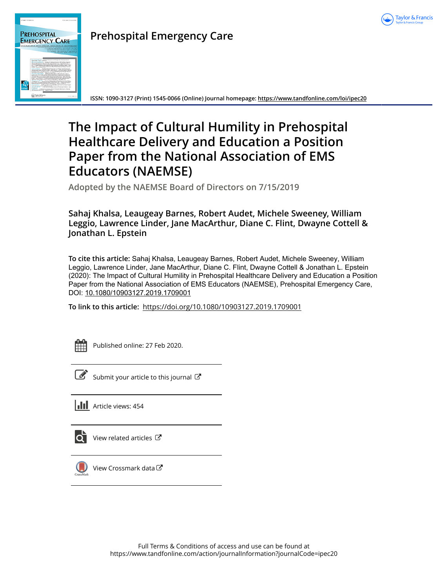



# **Prehospital Emergency Care**

**ISSN: 1090-3127 (Print) 1545-0066 (Online) Journal homepage:<https://www.tandfonline.com/loi/ipec20>**

# **The Impact of Cultural Humility in Prehospital Healthcare Delivery and Education a Position Paper from the National Association of EMS Educators (NAEMSE)**

**Adopted by the NAEMSE Board of Directors on 7/15/2019**

**Sahaj Khalsa, Leaugeay Barnes, Robert Audet, Michele Sweeney, William Leggio, Lawrence Linder, Jane MacArthur, Diane C. Flint, Dwayne Cottell & Jonathan L. Epstein**

**To cite this article:** Sahaj Khalsa, Leaugeay Barnes, Robert Audet, Michele Sweeney, William Leggio, Lawrence Linder, Jane MacArthur, Diane C. Flint, Dwayne Cottell & Jonathan L. Epstein (2020): The Impact of Cultural Humility in Prehospital Healthcare Delivery and Education a Position Paper from the National Association of EMS Educators (NAEMSE), Prehospital Emergency Care, DOI: [10.1080/10903127.2019.1709001](https://www.tandfonline.com/action/showCitFormats?doi=10.1080/10903127.2019.1709001)

**To link to this article:** <https://doi.org/10.1080/10903127.2019.1709001>

Published online: 27 Feb 2020.

[Submit your article to this journal](https://www.tandfonline.com/action/authorSubmission?journalCode=ipec20&show=instructions)  $\mathbb{Z}$ 





[View related articles](https://www.tandfonline.com/doi/mlt/10.1080/10903127.2019.1709001)  $\mathbb{Z}$ 



[View Crossmark data](http://crossmark.crossref.org/dialog/?doi=10.1080/10903127.2019.1709001&domain=pdf&date_stamp=2020-01-06)  $\sigma$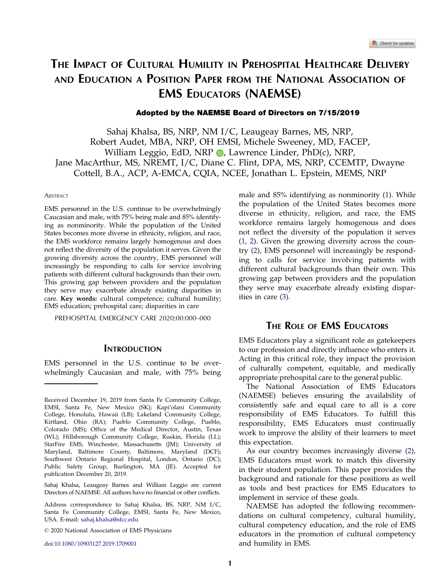## <span id="page-1-0"></span>THE IMPACT OF CULTURAL HUMILITY IN PREHOSPITAL HEALTHCARE DELIVERY AND EDUCATION A POSITION PAPER FROM THE NATIONAL ASSOCIATION OF EMS EDUCATORS (NAEMSE)

#### Adopted by the NAEMSE Board of Directors on 7/15/2019

Sahaj Khalsa, BS, NRP, NM I/C, Leaugeay Barnes, MS, NRP, Robert Audet, MBA, NRP, OH EMSI, Michele Sweeney, MD, FACEP, William Leggio, EdD, NRP  $\bullet$ , Lawrence Linder, PhD(c), NRP, Jane MacArthur, MS, NREMT, I/C, Diane C. Flint, DPA, MS, NRP, CCEMTP, Dwayne Cottell, B.A., ACP, A-EMCA, CQIA, NCEE, Jonathan L. Epstein, MEMS, NRP

#### **ABSTRACT**

EMS personnel in the U.S. continue to be overwhelmingly Caucasian and male, with 75% being male and 85% identifying as nonminority. While the population of the United States becomes more diverse in ethnicity, religion, and race, the EMS workforce remains largely homogenous and does not reflect the diversity of the population it serves. Given the growing diversity across the country, EMS personnel will increasingly be responding to calls for service involving patients with different cultural backgrounds than their own. This growing gap between providers and the population they serve may exacerbate already existing disparities in care. Key words: cultural competence; cultural humility; EMS education; prehospital care; disparities in care

PREHOSPITAL EMERGENCY CARE 2020;00:000–000

### **INTRODUCTION**

EMS personnel in the U.S. continue to be overwhelmingly Caucasian and male, with 75% being

Sahaj Khalsa, Leaugeay Barnes and William Leggio are current Directors of NAEMSE. All authors have no financial or other conflicts.

doi:10.1080/10903127.2019.1709001

male and 85% identifying as nonminority ([1\)](#page-5-0). While the population of the United States becomes more diverse in ethnicity, religion, and race, the EMS workforce remains largely homogenous and does not reflect the diversity of the population it serves [\(1](#page-5-0), [2\)](#page-5-0). Given the growing diversity across the country ([2\)](#page-5-0), EMS personnel will increasingly be responding to calls for service involving patients with different cultural backgrounds than their own. This growing gap between providers and the population they serve may exacerbate already existing disparities in care [\(3](#page-5-0)).

### THE ROLE OF **FMS** EDUCATORS

EMS Educators play a significant role as gatekeepers to our profession and directly influence who enters it. Acting in this critical role, they impact the provision of culturally competent, equitable, and medically appropriate prehospital care to the general public.

The National Association of EMS Educators (NAEMSE) believes ensuring the availability of consistently safe and equal care to all is a core responsibility of EMS Educators. To fulfill this responsibility, EMS Educators must continually work to improve the ability of their learners to meet this expectation.

As our country becomes increasingly diverse [\(2](#page-5-0)), EMS Educators must work to match this diversity in their student population. This paper provides the background and rationale for these positions as well as tools and best practices for EMS Educators to implement in service of these goals.

NAEMSE has adopted the following recommendations on cultural competency, cultural humility, cultural competency education, and the role of EMS educators in the promotion of cultural competency and humility in EMS.

Received December 19, 2019 from Santa Fe Community College, EMSI, Santa Fe, New Mexico (SK); Kapi'olani Community College, Honolulu, Hawaii (LB); Lakeland Community College, Kirtland, Ohio (RA); Pueblo Community College, Pueblo, Colorado (MS); Office of the Medical Director, Austin, Texas (WL); Hillsborough Community College, Ruskin, Florida (LL); StarFire EMS, Winchester, Massachusetts (JM); University of Maryland, Baltimore County, Baltimore, Maryland (DCF); Southwest Ontario Regional Hospital, London, Ontario (DC); Public Safety Group, Burlington, MA (JE). Accepted for publication December 20, 2019.

Address correspondence to Sahaj Khalsa, BS, NRP, NM I/C, Santa Fe Community College, EMSI, Santa Fe, New Mexico, USA. E-mail: sahaj.khalsa@sfcc.edu

2020 National Association of EMS Physicians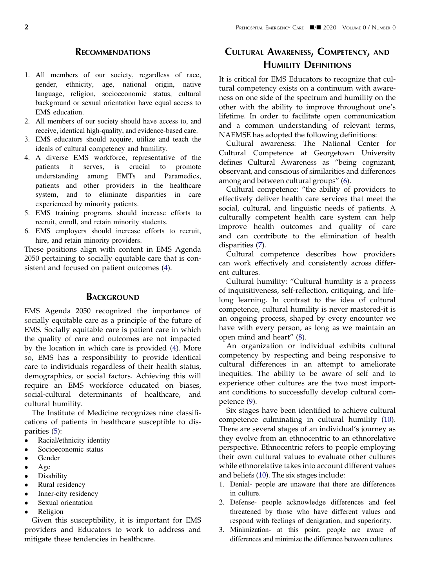### **RECOMMENDATIONS**

- <span id="page-2-0"></span>1. All members of our society, regardless of race, gender, ethnicity, age, national origin, native language, religion, socioeconomic status, cultural background or sexual orientation have equal access to EMS education.
- 2. All members of our society should have access to, and receive, identical high-quality, and evidence-based care.
- 3. EMS educators should acquire, utilize and teach the ideals of cultural competency and humility.
- 4. A diverse EMS workforce, representative of the patients it serves, is crucial to promote understanding among EMTs and Paramedics, patients and other providers in the healthcare system, and to eliminate disparities in care experienced by minority patients.
- 5. EMS training programs should increase efforts to recruit, enroll, and retain minority students.
- 6. EMS employers should increase efforts to recruit, hire, and retain minority providers.

These positions align with content in EMS Agenda 2050 pertaining to socially equitable care that is consistent and focused on patient outcomes ([4\)](#page-5-0).

#### **BACKGROUND**

EMS Agenda 2050 recognized the importance of socially equitable care as a principle of the future of EMS. Socially equitable care is patient care in which the quality of care and outcomes are not impacted by the location in which care is provided [\(4](#page-5-0)). More so, EMS has a responsibility to provide identical care to individuals regardless of their health status, demographics, or social factors. Achieving this will require an EMS workforce educated on biases, social-cultural determinants of healthcare, and cultural humility.

The Institute of Medicine recognizes nine classifications of patients in healthcare susceptible to disparities ([5\)](#page-5-0):

- Racial/ethnicity identity
- Socioeconomic status
- Gender
- Age
- Disability
- Rural residency
- Inner-city residency
- Sexual orientation
- Religion

Given this susceptibility, it is important for EMS providers and Educators to work to address and mitigate these tendencies in healthcare.

### CULTURAL AWARENESS, COMPETENCY, AND HUMILITY DEFINITIONS

It is critical for EMS Educators to recognize that cultural competency exists on a continuum with awareness on one side of the spectrum and humility on the other with the ability to improve throughout one's lifetime. In order to facilitate open communication and a common understanding of relevant terms, NAEMSE has adopted the following definitions:

Cultural awareness: The National Center for Cultural Competence at Georgetown University defines Cultural Awareness as "being cognizant, observant, and conscious of similarities and differences among and between cultural groups" [\(6](#page-5-0)).

Cultural competence: "the ability of providers to effectively deliver health care services that meet the social, cultural, and linguistic needs of patients. A culturally competent health care system can help improve health outcomes and quality of care and can contribute to the elimination of health disparities ([7\)](#page-5-0).

Cultural competence describes how providers can work effectively and consistently across different cultures.

Cultural humility: "Cultural humility is a process of inquisitiveness, self-reflection, critiquing, and lifelong learning. In contrast to the idea of cultural competence, cultural humility is never mastered-it is an ongoing process, shaped by every encounter we have with every person, as long as we maintain an open mind and heart" [\(8](#page-5-0)).

An organization or individual exhibits cultural competency by respecting and being responsive to cultural differences in an attempt to ameliorate inequities. The ability to be aware of self and to experience other cultures are the two most important conditions to successfully develop cultural competence [\(9](#page-5-0)).

Six stages have been identified to achieve cultural competence culminating in cultural humility [\(10](#page-5-0)). There are several stages of an individual's journey as they evolve from an ethnocentric to an ethnorelative perspective. Ethnocentric refers to people employing their own cultural values to evaluate other cultures while ethnorelative takes into account different values and beliefs [\(10](#page-5-0)). The six stages include:

- 1. Denial- people are unaware that there are differences in culture.
- 2. Defense- people acknowledge differences and feel threatened by those who have different values and respond with feelings of denigration, and superiority.
- 3. Minimization- at this point, people are aware of differences and minimize the difference between cultures.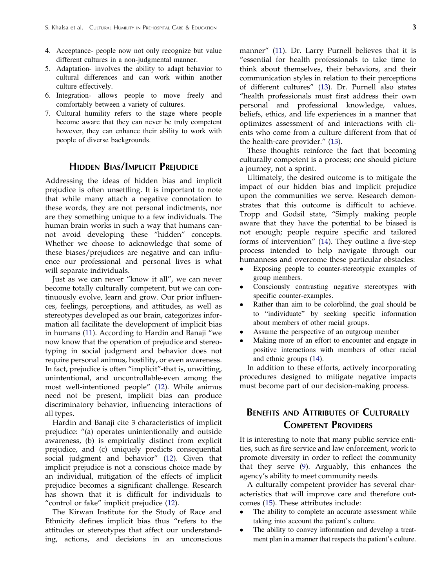- <span id="page-3-0"></span>4. Acceptance- people now not only recognize but value different cultures in a non-judgmental manner.
- 5. Adaptation- involves the ability to adapt behavior to cultural differences and can work within another culture effectively.
- 6. Integration- allows people to move freely and comfortably between a variety of cultures.
- 7. Cultural humility refers to the stage where people become aware that they can never be truly competent however, they can enhance their ability to work with people of diverse backgrounds.

### **HIDDEN BIAS/IMPLICIT PREIUDICE**

Addressing the ideas of hidden bias and implicit prejudice is often unsettling. It is important to note that while many attach a negative connotation to these words, they are not personal indictments, nor are they something unique to a few individuals. The human brain works in such a way that humans cannot avoid developing these "hidden" concepts. Whether we choose to acknowledge that some of these biases/prejudices are negative and can influence our professional and personal lives is what will separate individuals.

Just as we can never "know it all", we can never become totally culturally competent, but we can continuously evolve, learn and grow. Our prior influences, feelings, perceptions, and attitudes, as well as stereotypes developed as our brain, categorizes information all facilitate the development of implicit bias in humans ([11\)](#page-5-0). According to Hardin and Banaji "we now know that the operation of prejudice and stereotyping in social judgment and behavior does not require personal animus, hostility, or even awareness. In fact, prejudice is often "implicit"-that is, unwitting, unintentional, and uncontrollable-even among the most well-intentioned people" ([12\)](#page-5-0). While animus need not be present, implicit bias can produce discriminatory behavior, influencing interactions of all types.

Hardin and Banaji cite 3 characteristics of implicit prejudice: "(a) operates unintentionally and outside awareness, (b) is empirically distinct from explicit prejudice, and (c) uniquely predicts consequential social judgment and behavior" ([12\)](#page-5-0). Given that implicit prejudice is not a conscious choice made by an individual, mitigation of the effects of implicit prejudice becomes a significant challenge. Research has shown that it is difficult for individuals to "control or fake" implicit prejudice ([12\)](#page-5-0).

The Kirwan Institute for the Study of Race and Ethnicity defines implicit bias thus "refers to the attitudes or stereotypes that affect our understanding, actions, and decisions in an unconscious

manner" ([11\)](#page-5-0). Dr. Larry Purnell believes that it is "essential for health professionals to take time to think about themselves, their behaviors, and their communication styles in relation to their perceptions of different cultures" ([13\)](#page-5-0). Dr. Purnell also states "health professionals must first address their own personal and professional knowledge, values, beliefs, ethics, and life experiences in a manner that optimizes assessment of and interactions with clients who come from a culture different from that of the health-care provider." [\(13](#page-5-0)).

These thoughts reinforce the fact that becoming culturally competent is a process; one should picture a journey, not a sprint.

Ultimately, the desired outcome is to mitigate the impact of our hidden bias and implicit prejudice upon the communities we serve. Research demonstrates that this outcome is difficult to achieve. Tropp and Godsil state, "Simply making people aware that they have the potential to be biased is not enough; people require specific and tailored forms of intervention" [\(14](#page-5-0)). They outline a five-step process intended to help navigate through our humanness and overcome these particular obstacles:

- Exposing people to counter-stereotypic examples of group members.
- Consciously contrasting negative stereotypes with specific counter-examples.
- Rather than aim to be colorblind, the goal should be to "individuate" by seeking specific information about members of other racial groups.
- Assume the perspective of an outgroup member
- Making more of an effort to encounter and engage in positive interactions with members of other racial and ethnic groups ([14\)](#page-5-0).

In addition to these efforts, actively incorporating procedures designed to mitigate negative impacts must become part of our decision-making process.

### BENEFITS AND ATTRIBUTES OF CULTURALLY COMPETENT PROVIDERS

It is interesting to note that many public service entities, such as fire service and law enforcement, work to promote diversity in order to reflect the community that they serve ([9\)](#page-5-0). Arguably, this enhances the agency's ability to meet community needs.

A culturally competent provider has several characteristics that will improve care and therefore outcomes [\(15](#page-5-0)). These attributes include:

- The ability to complete an accurate assessment while taking into account the patient's culture.
- The ability to convey information and develop a treatment plan in a manner that respects the patient's culture.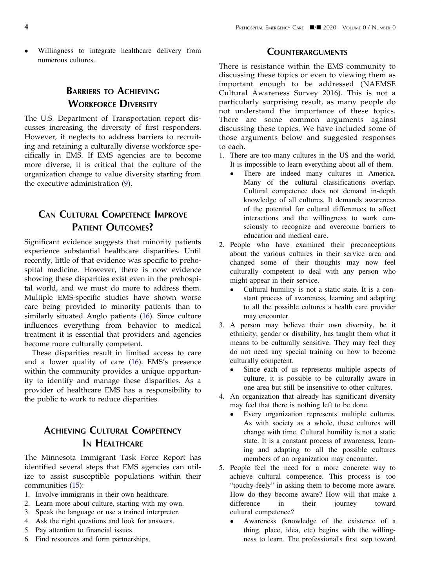<span id="page-4-0"></span> Willingness to integrate healthcare delivery from numerous cultures.

### BARRIERS TO ACHIEVING WORKFORCE DIVERSITY

The U.S. Department of Transportation report discusses increasing the diversity of first responders. However, it neglects to address barriers to recruiting and retaining a culturally diverse workforce specifically in EMS. If EMS agencies are to become more diverse, it is critical that the culture of the organization change to value diversity starting from the executive administration [\(9](#page-5-0)).

### CAN CULTURAL COMPETENCE IMPROVE PATIENT OUTCOMES?

Significant evidence suggests that minority patients experience substantial healthcare disparities. Until recently, little of that evidence was specific to prehospital medicine. However, there is now evidence showing these disparities exist even in the prehospital world, and we must do more to address them. Multiple EMS-specific studies have shown worse care being provided to minority patients than to similarly situated Anglo patients ([16\)](#page-5-0). Since culture influences everything from behavior to medical treatment it is essential that providers and agencies become more culturally competent.

These disparities result in limited access to care and a lower quality of care ([16\)](#page-5-0). EMS's presence within the community provides a unique opportunity to identify and manage these disparities. As a provider of healthcare EMS has a responsibility to the public to work to reduce disparities.

### ACHIEVING CULTURAL COMPETENCY IN HEALTHCARE

The Minnesota Immigrant Task Force Report has identified several steps that EMS agencies can utilize to assist susceptible populations within their communities [\(15](#page-5-0)):

- 1. Involve immigrants in their own healthcare.
- 2. Learn more about culture, starting with my own.
- 3. Speak the language or use a trained interpreter.
- 4. Ask the right questions and look for answers.
- 5. Pay attention to financial issues.
- 6. Find resources and form partnerships.

#### **COUNTERARGUMENTS**

There is resistance within the EMS community to discussing these topics or even to viewing them as important enough to be addressed (NAEMSE Cultural Awareness Survey 2016). This is not a particularly surprising result, as many people do not understand the importance of these topics. There are some common arguments against discussing these topics. We have included some of those arguments below and suggested responses to each.

- 1. There are too many cultures in the US and the world. It is impossible to learn everything about all of them.
	- There are indeed many cultures in America. Many of the cultural classifications overlap. Cultural competence does not demand in-depth knowledge of all cultures. It demands awareness of the potential for cultural differences to affect interactions and the willingness to work consciously to recognize and overcome barriers to education and medical care.
- 2. People who have examined their preconceptions about the various cultures in their service area and changed some of their thoughts may now feel culturally competent to deal with any person who might appear in their service.
	- Cultural humility is not a static state. It is a constant process of awareness, learning and adapting to all the possible cultures a health care provider may encounter.
- 3. A person may believe their own diversity, be it ethnicity, gender or disability, has taught them what it means to be culturally sensitive. They may feel they do not need any special training on how to become culturally competent.
	- Since each of us represents multiple aspects of culture, it is possible to be culturally aware in one area but still be insensitive to other cultures.
- 4. An organization that already has significant diversity may feel that there is nothing left to be done.
	- Every organization represents multiple cultures. As with society as a whole, these cultures will change with time. Cultural humility is not a static state. It is a constant process of awareness, learning and adapting to all the possible cultures members of an organization may encounter.
- 5. People feel the need for a more concrete way to achieve cultural competence. This process is too "touchy-feely" in asking them to become more aware. How do they become aware? How will that make a difference in their journey toward cultural competence?
	- Awareness (knowledge of the existence of a thing, place, idea, etc) begins with the willingness to learn. The professional's first step toward